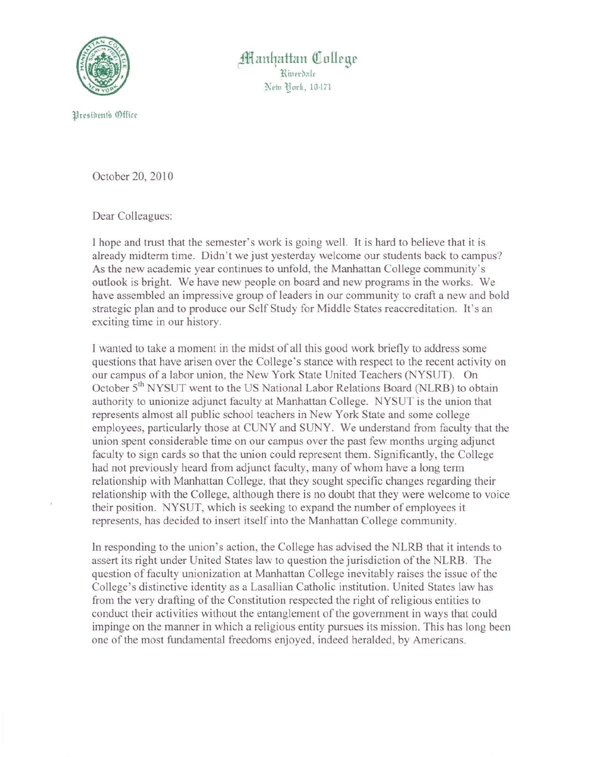

**f** anhattan College l{iurrbl1lr New York. 10471

l§nsibrnts (@fficr

October 20, 2010

Dear Colleagues:

I hope and trust that the semester's work is going well. It is hard to believe that it is already midterm time. Didn't we just yesterday welcome our students back to campus? As the new academic year continues to unfold, the Manhattan College community's outlook is bright. We have new people on board and new programs in the works. We have assembled an impressive group of leaders in our community to craft a new and bold strategic plan and to produce our Self Study for Middle States reaccreditation. It's an exciting time in our history.

I wanted to take a moment in the midst of all this good work briefly to address some questions that have arisen over the College's stance with respect to the recent activity on our campus of a labor union, the New York State United Teachers (NYSUT). On October 5<sup>th</sup> NYSUT went to the US National Labor Relations Board (NLRB) to obtain authority to unionize adjunct faculty at Manhattan College. NYSUT is the union that represents almost all public school teachers in New York State and some college employees, particularly those at CUNY and SUNY. We understand from faculty that the union spent considerable time on our campus over the past few months urging adjunct faculty to sign cards so that the union could represent them. Significantly, the College had not previously heard from adjunct faculty, many of whom have a long term relationship with Manhattan College, that they sought specific changes regarding their relationship with the College, although there is no doubt that they were welcome to voice their position. NYSUT, which is seeking to expand the number of employees it represents, has decided to insert itself into the Manhattan College community.

In responding to the union's action, the College has advised the NLRB that it intends to assert its right under United States law to question the jurisdiction of the NLRB. The question of faculty unionization at Manhattan College inevitably raises the issue of the College's distinctive identity as a Lasallian Catholic institution. United States law has from the very drafting of the Constitution respected the right of religious entities to conduct their activities without the entanglement of the government in ways that could impinge on the manner in which a religious entity pursues its mission. This has long been one of the most fundamental freedoms enjoyed, indeed heralded, by Americans.